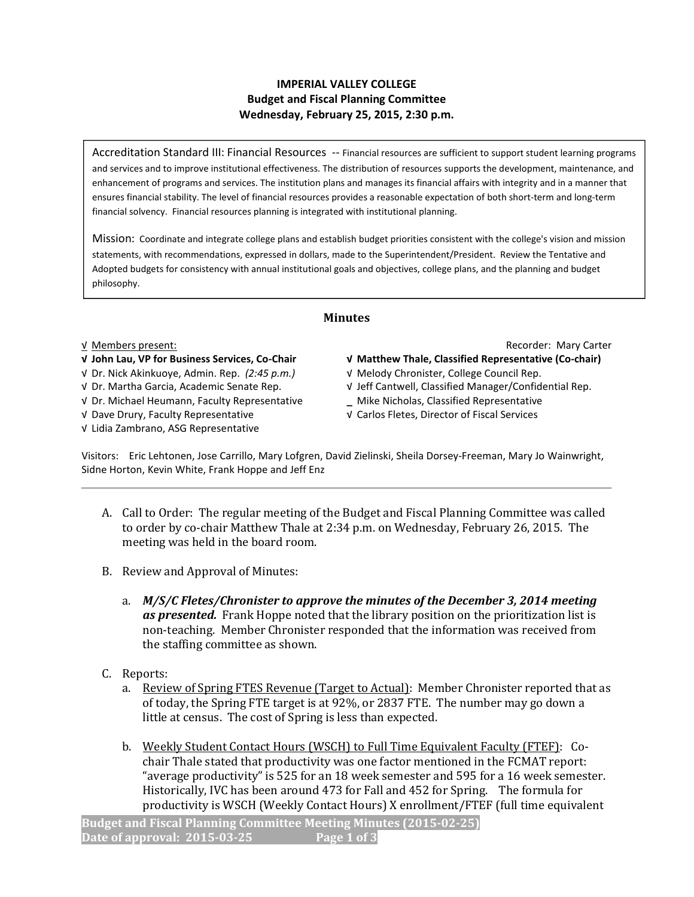## IMPERIAL VALLEY COLLEGE Budget and Fiscal Planning Committee Wednesday, February 25, 2015, 2:30 p.m.

Accreditation Standard III: Financial Resources -- Financial resources are sufficient to support student learning programs and services and to improve institutional effectiveness. The distribution of resources supports the development, maintenance, and enhancement of programs and services. The institution plans and manages its financial affairs with integrity and in a manner that ensures financial stability. The level of financial resources provides a reasonable expectation of both short-term and long-term financial solvency. Financial resources planning is integrated with institutional planning.

Mission: Coordinate and integrate college plans and establish budget priorities consistent with the college's vision and mission statements, with recommendations, expressed in dollars, made to the Superintendent/President. Review the Tentative and Adopted budgets for consistency with annual institutional goals and objectives, college plans, and the planning and budget philosophy.

## Minutes

√ Dr. Nick Akinkuoye, Admin. Rep. (2:45 p.m.) √ Melody Chronister, College Council Rep.

√ Dr. Michael Heumann, Faculty Representative \_ Mike Nicholas, Classified Representative

√ Lidia Zambrano, ASG Representative

√ Members present: Recorder: Mary Carter

- √ John Lau, VP for Business Services, Co-Chair √ Matthew Thale, Classified Representative (Co-chair)
	-
- √ Dr. Martha Garcia, Academic Senate Rep. √ Jeff Cantwell, Classified Manager/Confidential Rep.
	-
- √ Dave Drury, Faculty Representative √ Carlos Fletes, Director of Fiscal Services

Visitors: Eric Lehtonen, Jose Carrillo, Mary Lofgren, David Zielinski, Sheila Dorsey-Freeman, Mary Jo Wainwright, Sidne Horton, Kevin White, Frank Hoppe and Jeff Enz

- A. Call to Order: The regular meeting of the Budget and Fiscal Planning Committee was called to order by co-chair Matthew Thale at 2:34 p.m. on Wednesday, February 26, 2015. The meeting was held in the board room.
- B. Review and Approval of Minutes:
	- a. M/S/C Fletes/Chronister to approve the minutes of the December 3, 2014 meeting as presented. Frank Hoppe noted that the library position on the prioritization list is non-teaching. Member Chronister responded that the information was received from the staffing committee as shown.
- C. Reports:
	- a. Review of Spring FTES Revenue (Target to Actual): Member Chronister reported that as of today, the Spring FTE target is at 92%, or 2837 FTE. The number may go down a little at census. The cost of Spring is less than expected.
	- b. Weekly Student Contact Hours (WSCH) to Full Time Equivalent Faculty (FTEF): Cochair Thale stated that productivity was one factor mentioned in the FCMAT report: "average productivity" is 525 for an 18 week semester and 595 for a 16 week semester. Historically, IVC has been around 473 for Fall and 452 for Spring. The formula for productivity is WSCH (Weekly Contact Hours) X enrollment/FTEF (full time equivalent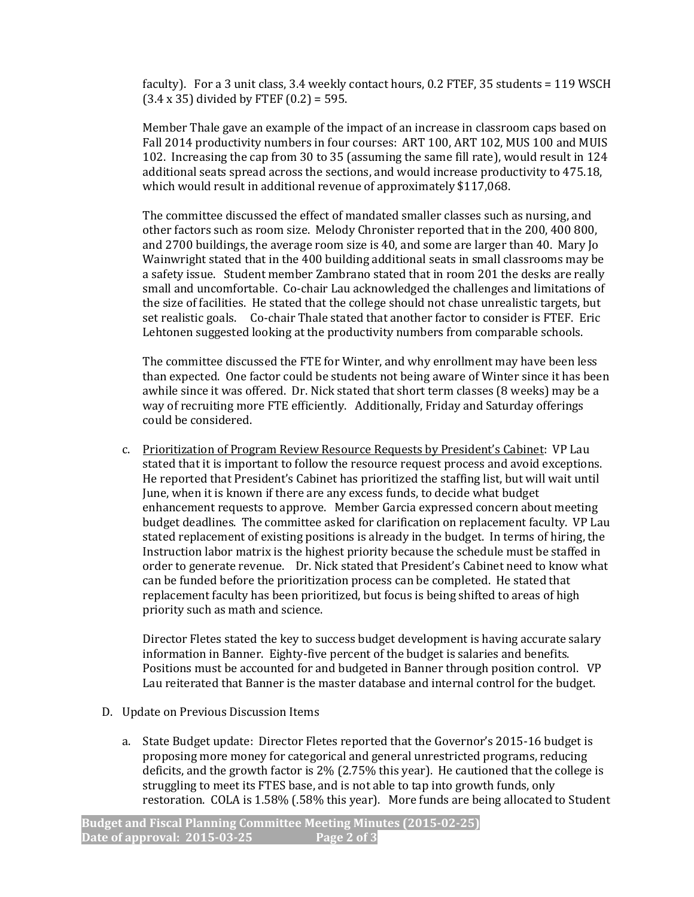faculty). For a 3 unit class, 3.4 weekly contact hours, 0.2 FTEF, 35 students = 119 WSCH  $(3.4 \times 35)$  divided by FTEF  $(0.2) = 595$ .

Member Thale gave an example of the impact of an increase in classroom caps based on Fall 2014 productivity numbers in four courses: ART 100, ART 102, MUS 100 and MUIS 102. Increasing the cap from 30 to 35 (assuming the same fill rate), would result in 124 additional seats spread across the sections, and would increase productivity to 475.18, which would result in additional revenue of approximately \$117,068.

The committee discussed the effect of mandated smaller classes such as nursing, and other factors such as room size. Melody Chronister reported that in the 200, 400 800, and 2700 buildings, the average room size is 40, and some are larger than 40. Mary Jo Wainwright stated that in the 400 building additional seats in small classrooms may be a safety issue. Student member Zambrano stated that in room 201 the desks are really small and uncomfortable. Co-chair Lau acknowledged the challenges and limitations of the size of facilities. He stated that the college should not chase unrealistic targets, but set realistic goals. Co-chair Thale stated that another factor to consider is FTEF. Eric Lehtonen suggested looking at the productivity numbers from comparable schools.

The committee discussed the FTE for Winter, and why enrollment may have been less than expected. One factor could be students not being aware of Winter since it has been awhile since it was offered. Dr. Nick stated that short term classes (8 weeks) may be a way of recruiting more FTE efficiently. Additionally, Friday and Saturday offerings could be considered.

c. Prioritization of Program Review Resource Requests by President's Cabinet: VP Lau stated that it is important to follow the resource request process and avoid exceptions. He reported that President's Cabinet has prioritized the staffing list, but will wait until June, when it is known if there are any excess funds, to decide what budget enhancement requests to approve. Member Garcia expressed concern about meeting budget deadlines. The committee asked for clarification on replacement faculty. VP Lau stated replacement of existing positions is already in the budget. In terms of hiring, the Instruction labor matrix is the highest priority because the schedule must be staffed in order to generate revenue. Dr. Nick stated that President's Cabinet need to know what can be funded before the prioritization process can be completed. He stated that replacement faculty has been prioritized, but focus is being shifted to areas of high priority such as math and science.

Director Fletes stated the key to success budget development is having accurate salary information in Banner. Eighty-five percent of the budget is salaries and benefits. Positions must be accounted for and budgeted in Banner through position control. VP Lau reiterated that Banner is the master database and internal control for the budget.

- D. Update on Previous Discussion Items
	- a. State Budget update: Director Fletes reported that the Governor's 2015-16 budget is proposing more money for categorical and general unrestricted programs, reducing deficits, and the growth factor is 2% (2.75% this year). He cautioned that the college is struggling to meet its FTES base, and is not able to tap into growth funds, only restoration. COLA is 1.58% (.58% this year). More funds are being allocated to Student